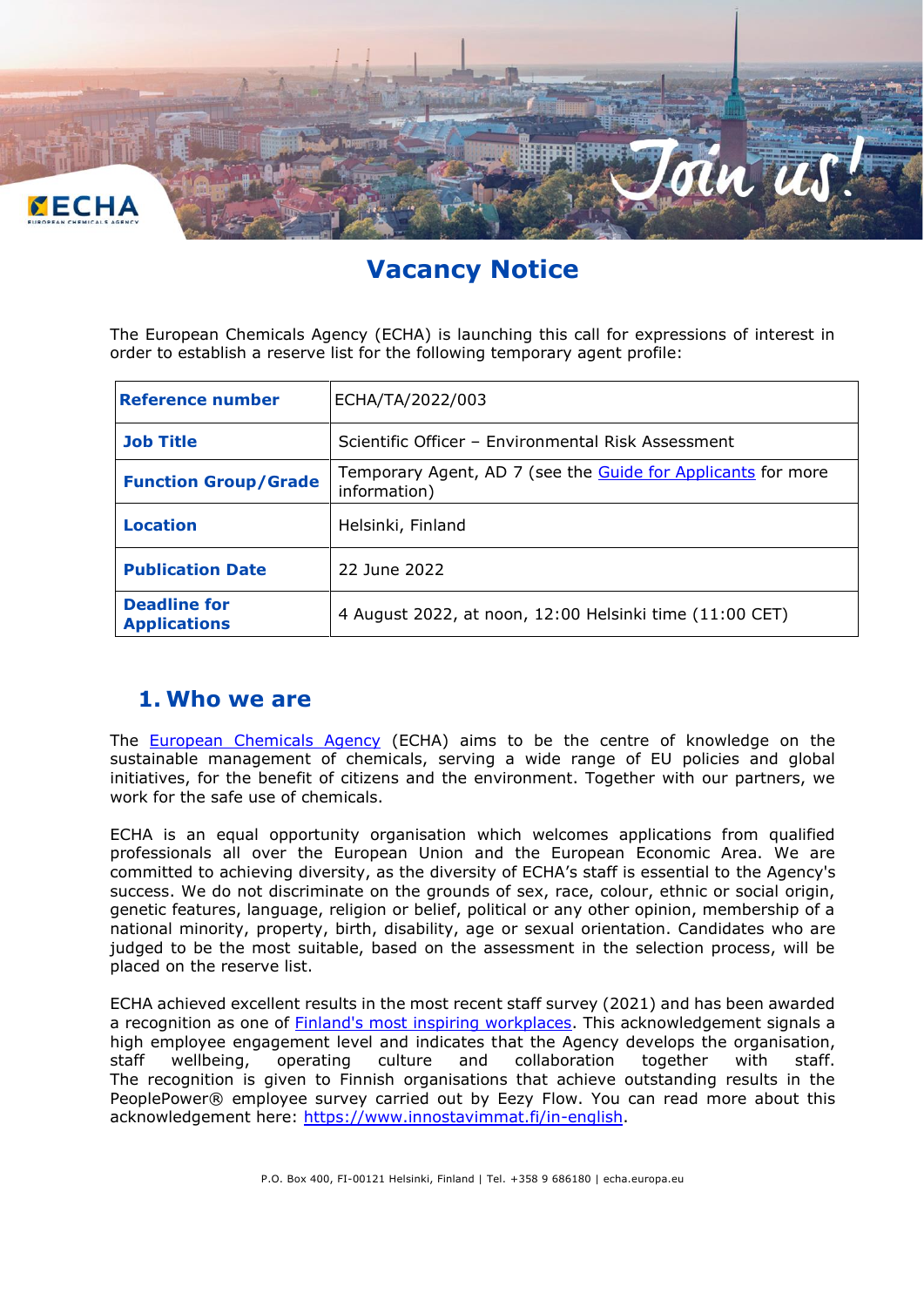

# **Vacancy Notice**

The European Chemicals Agency (ECHA) is launching this call for expressions of interest in order to establish a reserve list for the following temporary agent profile:

| <b>Reference number</b>                    | ECHA/TA/2022/003                                                             |
|--------------------------------------------|------------------------------------------------------------------------------|
| <b>Job Title</b>                           | Scientific Officer - Environmental Risk Assessment                           |
| <b>Function Group/Grade</b>                | Temporary Agent, AD 7 (see the Guide for Applicants for more<br>information) |
| <b>Location</b>                            | Helsinki, Finland                                                            |
| <b>Publication Date</b>                    | 22 June 2022                                                                 |
| <b>Deadline for</b><br><b>Applications</b> | 4 August 2022, at noon, 12:00 Helsinki time (11:00 CET)                      |

### **1. Who we are**

The **[European Chemicals Agency](http://www.echa.europa.eu/)** (ECHA) aims to be the centre of knowledge on the sustainable management of chemicals, serving a wide range of EU policies and global initiatives, for the benefit of citizens and the environment. Together with our partners, we work for the safe use of chemicals.

ECHA is an equal opportunity organisation which welcomes applications from qualified professionals all over the European Union and the European Economic Area. We are committed to achieving diversity, as the diversity of ECHA's staff is essential to the Agency's success. We do not discriminate on the grounds of sex, race, colour, ethnic or social origin, genetic features, language, religion or belief, political or any other opinion, membership of a national minority, property, birth, disability, age or sexual orientation. Candidates who are judged to be the most suitable, based on the assessment in the selection process, will be placed on the reserve list.

ECHA achieved excellent results in the most recent staff survey (2021) and has been awarded a recognition as one of [Finland's most inspiring workplaces.](https://activity.echa.europa.eu/sites/act-14/process-14-8/_layouts/15/DocIdRedir.aspx?ID=ACTV14-56-426) This acknowledgement signals a high employee engagement level and indicates that the Agency develops the organisation, staff wellbeing, operating culture and collaboration together with staff. The recognition is given to Finnish organisations that achieve outstanding results in the PeoplePower® employee survey carried out by Eezy Flow. You can read more about this acknowledgement here: [https://www.innostavimmat.fi/in-english.](https://www.innostavimmat.fi/in-english)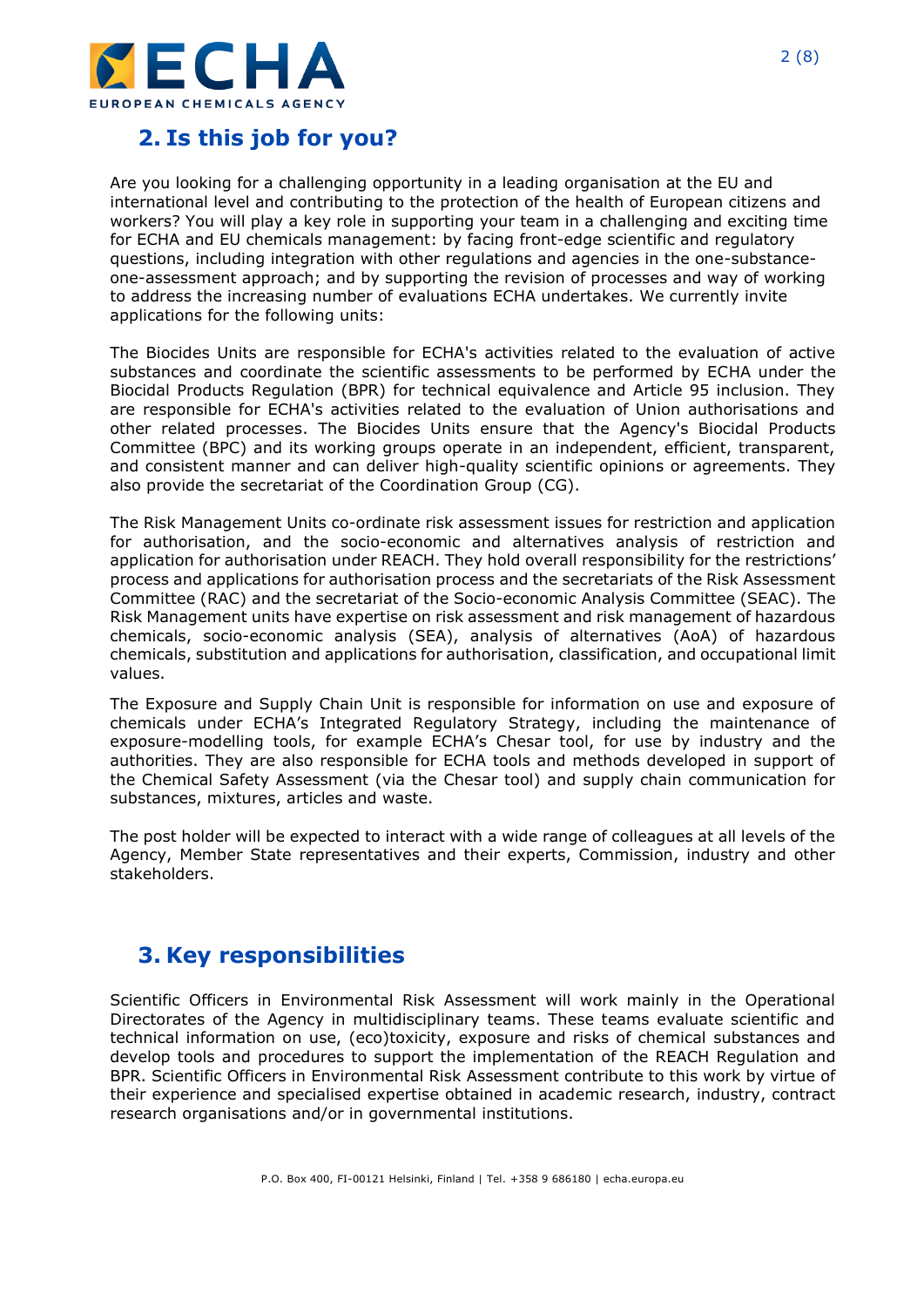

## **2. Is this job for you?**

Are you looking for a challenging opportunity in a leading organisation at the EU and international level and contributing to the protection of the health of European citizens and workers? You will play a key role in supporting your team in a challenging and exciting time for ECHA and EU chemicals management: by facing front-edge scientific and regulatory questions, including integration with other regulations and agencies in the one-substanceone-assessment approach; and by supporting the revision of processes and way of working to address the increasing number of evaluations ECHA undertakes. We currently invite applications for the following units:

The Biocides Units are responsible for ECHA's activities related to the evaluation of active substances and coordinate the scientific assessments to be performed by ECHA under the Biocidal Products Regulation (BPR) for technical equivalence and Article 95 inclusion. They are responsible for ECHA's activities related to the evaluation of Union authorisations and other related processes. The Biocides Units ensure that the Agency's Biocidal Products Committee (BPC) and its working groups operate in an independent, efficient, transparent, and consistent manner and can deliver high-quality scientific opinions or agreements. They also provide the secretariat of the Coordination Group (CG).

The Risk Management Units co-ordinate risk assessment issues for restriction and application for authorisation, and the socio-economic and alternatives analysis of restriction and application for authorisation under REACH. They hold overall responsibility for the restrictions' process and applications for authorisation process and the secretariats of the Risk Assessment Committee (RAC) and the secretariat of the Socio-economic Analysis Committee (SEAC). The Risk Management units have expertise on risk assessment and risk management of hazardous chemicals, socio-economic analysis (SEA), analysis of alternatives (AoA) of hazardous chemicals, substitution and applications for authorisation, classification, and occupational limit values.

The Exposure and Supply Chain Unit is responsible for information on use and exposure of chemicals under ECHA's Integrated Regulatory Strategy, including the maintenance of exposure-modelling tools, for example ECHA's Chesar tool, for use by industry and the authorities. They are also responsible for ECHA tools and methods developed in support of the Chemical Safety Assessment (via the Chesar tool) and supply chain communication for substances, mixtures, articles and waste.

The post holder will be expected to interact with a wide range of colleagues at all levels of the Agency, Member State representatives and their experts, Commission, industry and other stakeholders.

### **3. Key responsibilities**

Scientific Officers in Environmental Risk Assessment will work mainly in the Operational Directorates of the Agency in multidisciplinary teams. These teams evaluate scientific and technical information on use, (eco)toxicity, exposure and risks of chemical substances and develop tools and procedures to support the implementation of the REACH Regulation and BPR. Scientific Officers in Environmental Risk Assessment contribute to this work by virtue of their experience and specialised expertise obtained in academic research, industry, contract research organisations and/or in governmental institutions.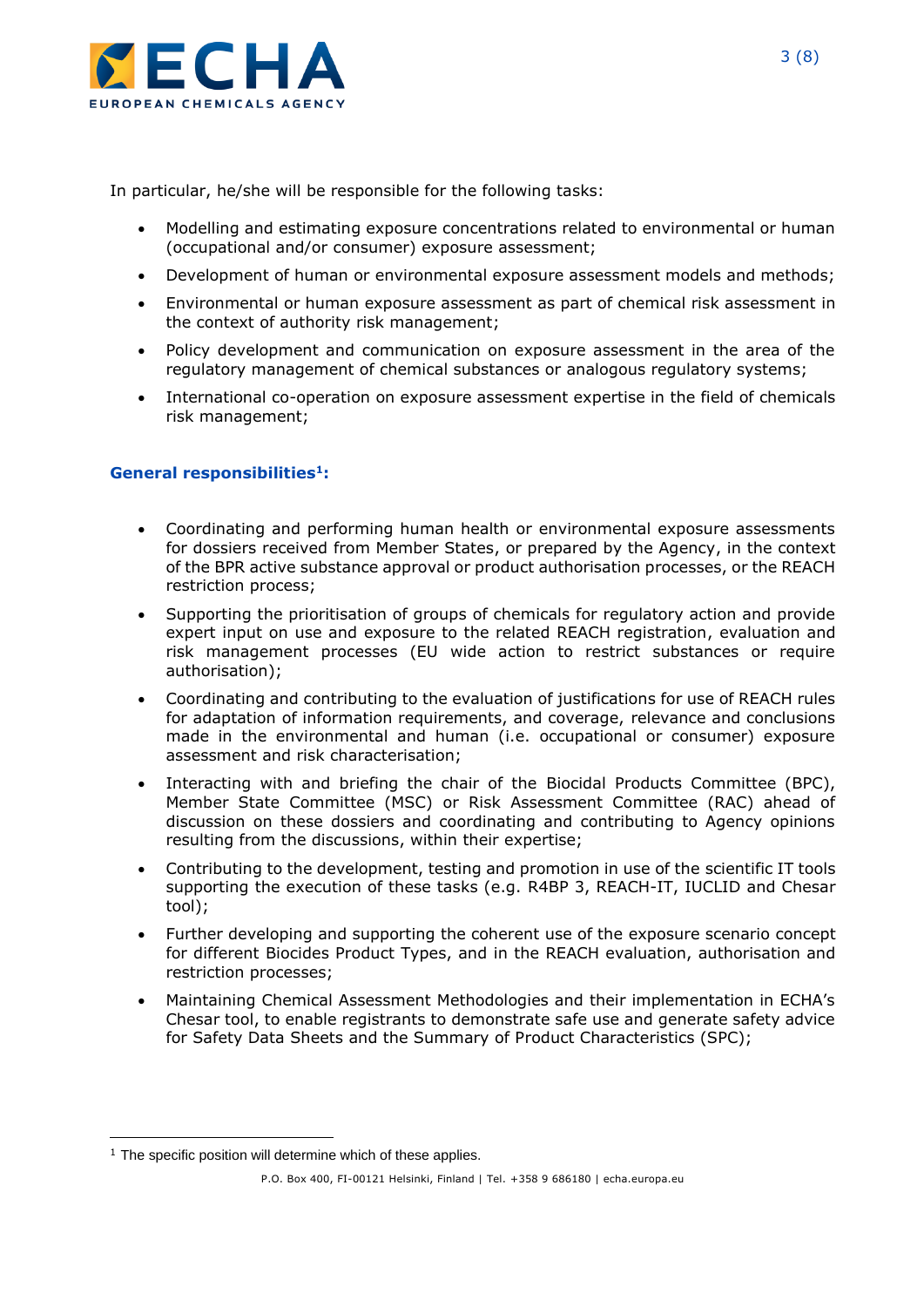

In particular, he/she will be responsible for the following tasks:

- Modelling and estimating exposure concentrations related to environmental or human (occupational and/or consumer) exposure assessment;
- Development of human or environmental exposure assessment models and methods;
- Environmental or human exposure assessment as part of chemical risk assessment in the context of authority risk management;
- Policy development and communication on exposure assessment in the area of the regulatory management of chemical substances or analogous regulatory systems;
- International co-operation on exposure assessment expertise in the field of chemicals risk management;

#### **General responsibilities<sup>1</sup> :**

- Coordinating and performing human health or environmental exposure assessments for dossiers received from Member States, or prepared by the Agency, in the context of the BPR active substance approval or product authorisation processes, or the REACH restriction process;
- Supporting the prioritisation of groups of chemicals for regulatory action and provide expert input on use and exposure to the related REACH registration, evaluation and risk management processes (EU wide action to restrict substances or require authorisation);
- Coordinating and contributing to the evaluation of justifications for use of REACH rules for adaptation of information requirements, and coverage, relevance and conclusions made in the environmental and human (i.e. occupational or consumer) exposure assessment and risk characterisation;
- Interacting with and briefing the chair of the Biocidal Products Committee (BPC), Member State Committee (MSC) or Risk Assessment Committee (RAC) ahead of discussion on these dossiers and coordinating and contributing to Agency opinions resulting from the discussions, within their expertise;
- Contributing to the development, testing and promotion in use of the scientific IT tools supporting the execution of these tasks (e.g. R4BP 3, REACH-IT, IUCLID and Chesar tool);
- Further developing and supporting the coherent use of the exposure scenario concept for different Biocides Product Types, and in the REACH evaluation, authorisation and restriction processes;
- Maintaining Chemical Assessment Methodologies and their implementation in ECHA's Chesar tool, to enable registrants to demonstrate safe use and generate safety advice for Safety Data Sheets and the Summary of Product Characteristics (SPC);

 $1$  The specific position will determine which of these applies.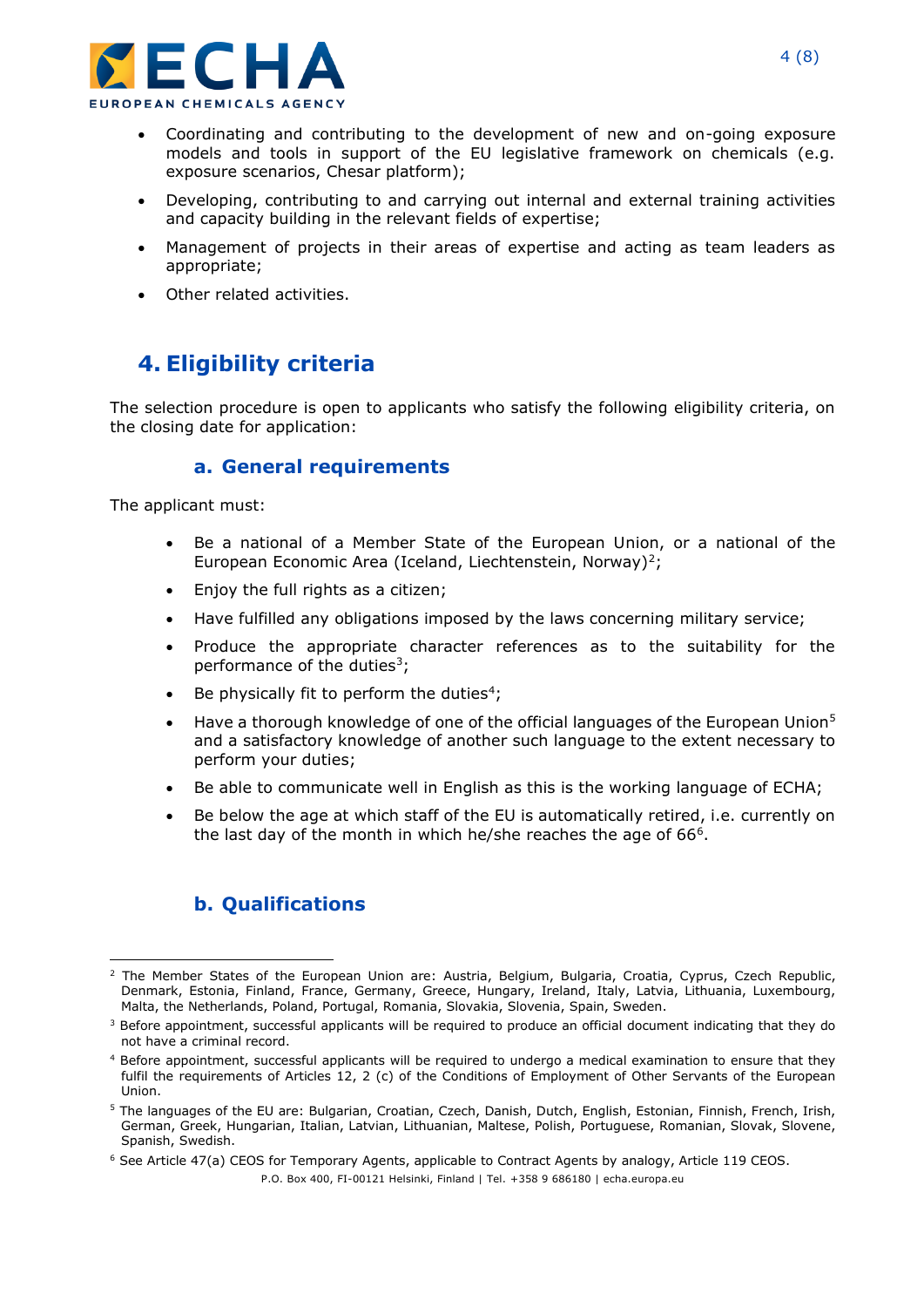

- Coordinating and contributing to the development of new and on-going exposure models and tools in support of the EU legislative framework on chemicals (e.g. exposure scenarios, Chesar platform);
- Developing, contributing to and carrying out internal and external training activities and capacity building in the relevant fields of expertise;
- Management of projects in their areas of expertise and acting as team leaders as appropriate;
- Other related activities.

## **4. Eligibility criteria**

The selection procedure is open to applicants who satisfy the following eligibility criteria, on the closing date for application:

#### **a. General requirements**

The applicant must:

- Be a national of a Member State of the European Union, or a national of the European Economic Area (Iceland, Liechtenstein, Norway)<sup>2</sup>;
- Enjoy the full rights as a citizen;
- Have fulfilled any obligations imposed by the laws concerning military service;
- Produce the appropriate character references as to the suitability for the performance of the duties<sup>3</sup>;
- Be physically fit to perform the duties<sup>4</sup>;
- Have a thorough knowledge of one of the official languages of the European Union<sup>5</sup> and a satisfactory knowledge of another such language to the extent necessary to perform your duties;
- Be able to communicate well in English as this is the working language of ECHA;
- Be below the age at which staff of the EU is automatically retired, i.e. currently on the last day of the month in which he/she reaches the age of  $66<sup>6</sup>$ .

#### **b. Qualifications**

<sup>&</sup>lt;sup>2</sup> The Member States of the European Union are: Austria, Belgium, Bulgaria, Croatia, Cyprus, Czech Republic, Denmark, Estonia, Finland, France, Germany, Greece, Hungary, Ireland, Italy, Latvia, Lithuania, Luxembourg, Malta, the Netherlands, Poland, Portugal, Romania, Slovakia, Slovenia, Spain, Sweden.

<sup>&</sup>lt;sup>3</sup> Before appointment, successful applicants will be required to produce an official document indicating that they do not have a criminal record.

<sup>4</sup> Before appointment, successful applicants will be required to undergo a medical examination to ensure that they fulfil the requirements of Articles 12, 2 (c) of the Conditions of Employment of Other Servants of the European Union.

<sup>5</sup> The languages of the EU are: Bulgarian, Croatian, Czech, Danish, Dutch, English, Estonian, Finnish, French, Irish, German, Greek, Hungarian, Italian, Latvian, Lithuanian, Maltese, Polish, Portuguese, Romanian, Slovak, Slovene, Spanish, Swedish.

<sup>&</sup>lt;sup>6</sup> See Article 47(a) CEOS for Temporary Agents, applicable to Contract Agents by analogy, Article 119 CEOS.

P.O. Box 400, FI-00121 Helsinki, Finland | Tel. +358 9 686180 | echa.europa.eu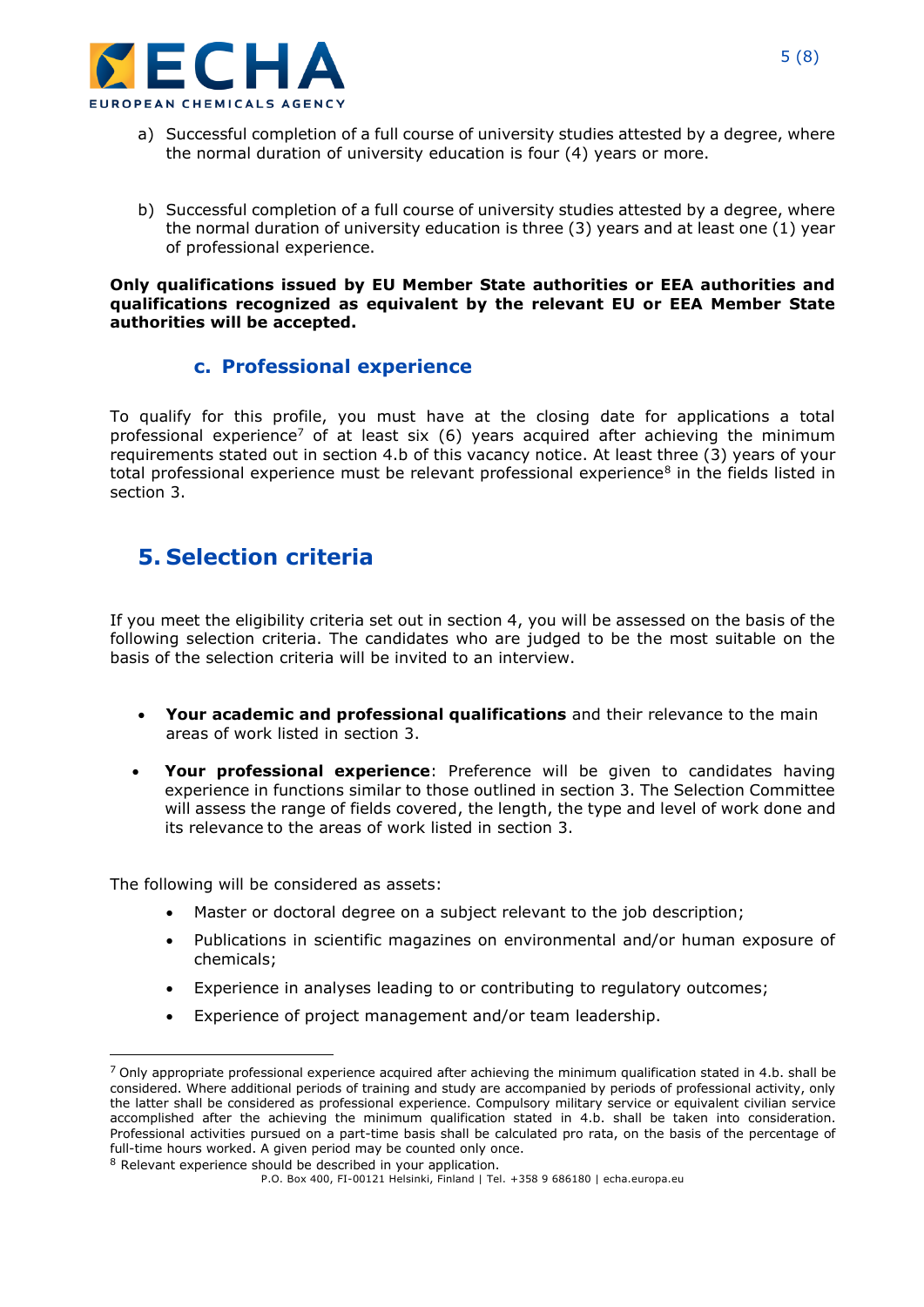

- a) Successful completion of a full course of university studies attested by a degree, where the normal duration of university education is four (4) years or more.
- b) Successful completion of a full course of university studies attested by a degree, where the normal duration of university education is three (3) years and at least one (1) year of professional experience.

#### **Only qualifications issued by EU Member State authorities or EEA authorities and qualifications recognized as equivalent by the relevant EU or EEA Member State authorities will be accepted.**

#### **c. Professional experience**

To qualify for this profile, you must have at the closing date for applications a total professional experience<sup>7</sup> of at least six (6) years acquired after achieving the minimum requirements stated out in section 4.b of this vacancy notice. At least three (3) years of your total professional experience must be relevant professional experience<sup>8</sup> in the fields listed in section 3.

### **5. Selection criteria**

If you meet the eligibility criteria set out in section 4, you will be assessed on the basis of the following selection criteria. The candidates who are judged to be the most suitable on the basis of the selection criteria will be invited to an interview.

- **Your academic and professional qualifications** and their relevance to the main areas of work listed in section 3.
- **Your professional experience**: Preference will be given to candidates having experience in functions similar to those outlined in section 3. The Selection Committee will assess the range of fields covered, the length, the type and level of work done and its relevance to the areas of work listed in section 3.

The following will be considered as assets:

- Master or doctoral degree on a subject relevant to the job description;
- Publications in scientific magazines on environmental and/or human exposure of chemicals;
- Experience in analyses leading to or contributing to regulatory outcomes;
- Experience of project management and/or team leadership.

 $7$  Only appropriate professional experience acquired after achieving the minimum qualification stated in 4.b. shall be considered. Where additional periods of training and study are accompanied by periods of professional activity, only the latter shall be considered as professional experience. Compulsory military service or equivalent civilian service accomplished after the achieving the minimum qualification stated in 4.b. shall be taken into consideration. Professional activities pursued on a part-time basis shall be calculated pro rata, on the basis of the percentage of full-time hours worked. A given period may be counted only once. <sup>8</sup> Relevant experience should be described in your application.

P.O. Box 400, FI-00121 Helsinki, Finland | Tel. +358 9 686180 | echa.europa.eu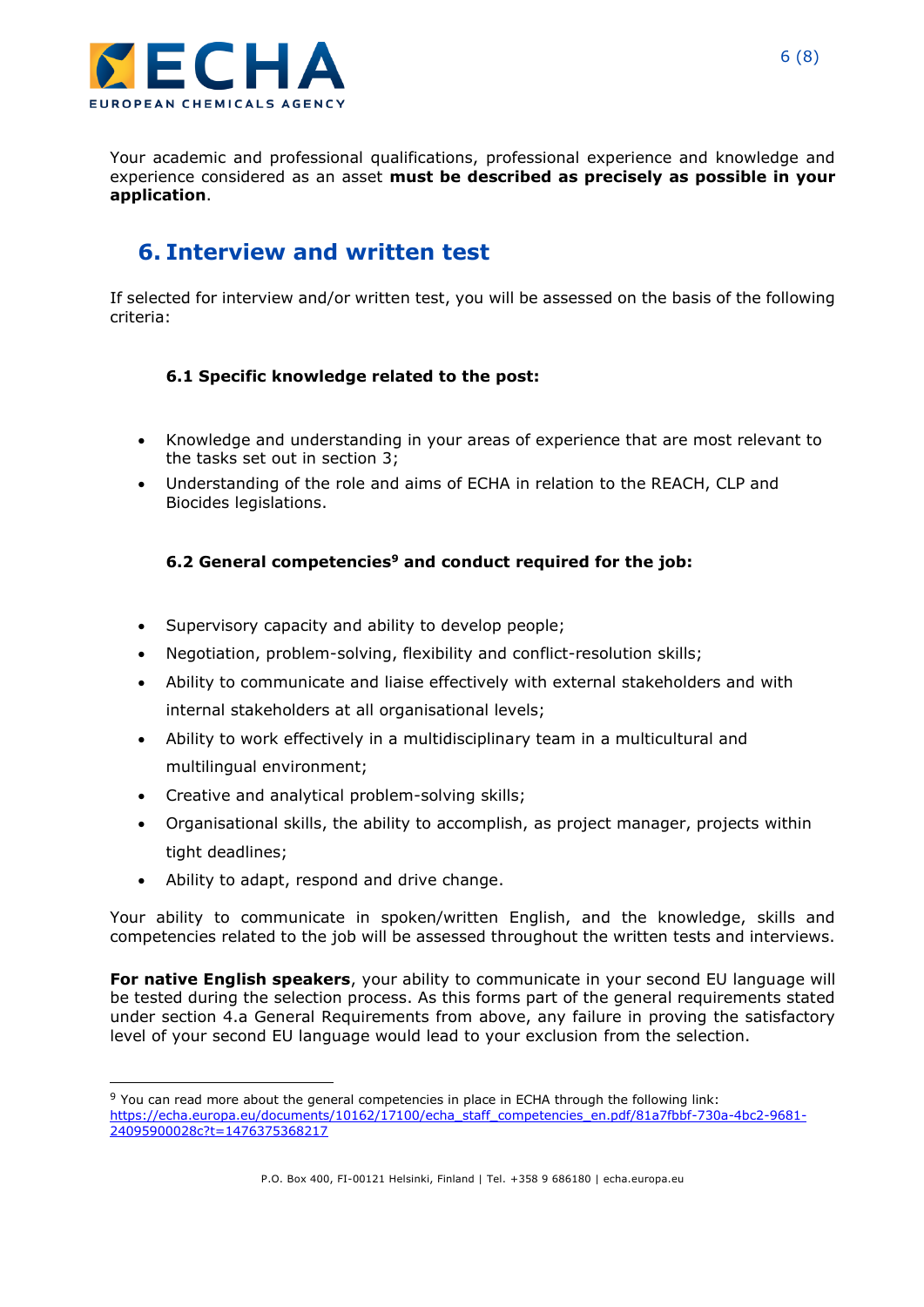

Your academic and professional qualifications, professional experience and knowledge and experience considered as an asset **must be described as precisely as possible in your application**.

## **6. Interview and written test**

If selected for interview and/or written test, you will be assessed on the basis of the following criteria:

#### **6.1 Specific knowledge related to the post:**

- Knowledge and understanding in your areas of experience that are most relevant to the tasks set out in section 3;
- Understanding of the role and aims of ECHA in relation to the REACH, CLP and Biocides legislations.

#### **6.2 General competencies<sup>9</sup> and conduct required for the job:**

- Supervisory capacity and ability to develop people;
- Negotiation, problem-solving, flexibility and conflict-resolution skills;
- Ability to communicate and liaise effectively with external stakeholders and with internal stakeholders at all organisational levels;
- Ability to work effectively in a multidisciplinary team in a multicultural and multilingual environment;
- Creative and analytical problem-solving skills;
- Organisational skills, the ability to accomplish, as project manager, projects within tight deadlines;
- Ability to adapt, respond and drive change.

Your ability to communicate in spoken/written English, and the knowledge, skills and competencies related to the job will be assessed throughout the written tests and interviews.

**For native English speakers**, your ability to communicate in your second EU language will be tested during the selection process. As this forms part of the general requirements stated under section 4.a General Requirements from above, any failure in proving the satisfactory level of your second EU language would lead to your exclusion from the selection.

<sup>9</sup> You can read more about the general competencies in place in ECHA through the following link: [https://echa.europa.eu/documents/10162/17100/echa\\_staff\\_competencies\\_en.pdf/81a7fbbf-730a-4bc2-9681-](https://echa.europa.eu/documents/10162/17100/echa_staff_competencies_en.pdf/81a7fbbf-730a-4bc2-9681-24095900028c?t=1476375368217) [24095900028c?t=1476375368217](https://echa.europa.eu/documents/10162/17100/echa_staff_competencies_en.pdf/81a7fbbf-730a-4bc2-9681-24095900028c?t=1476375368217)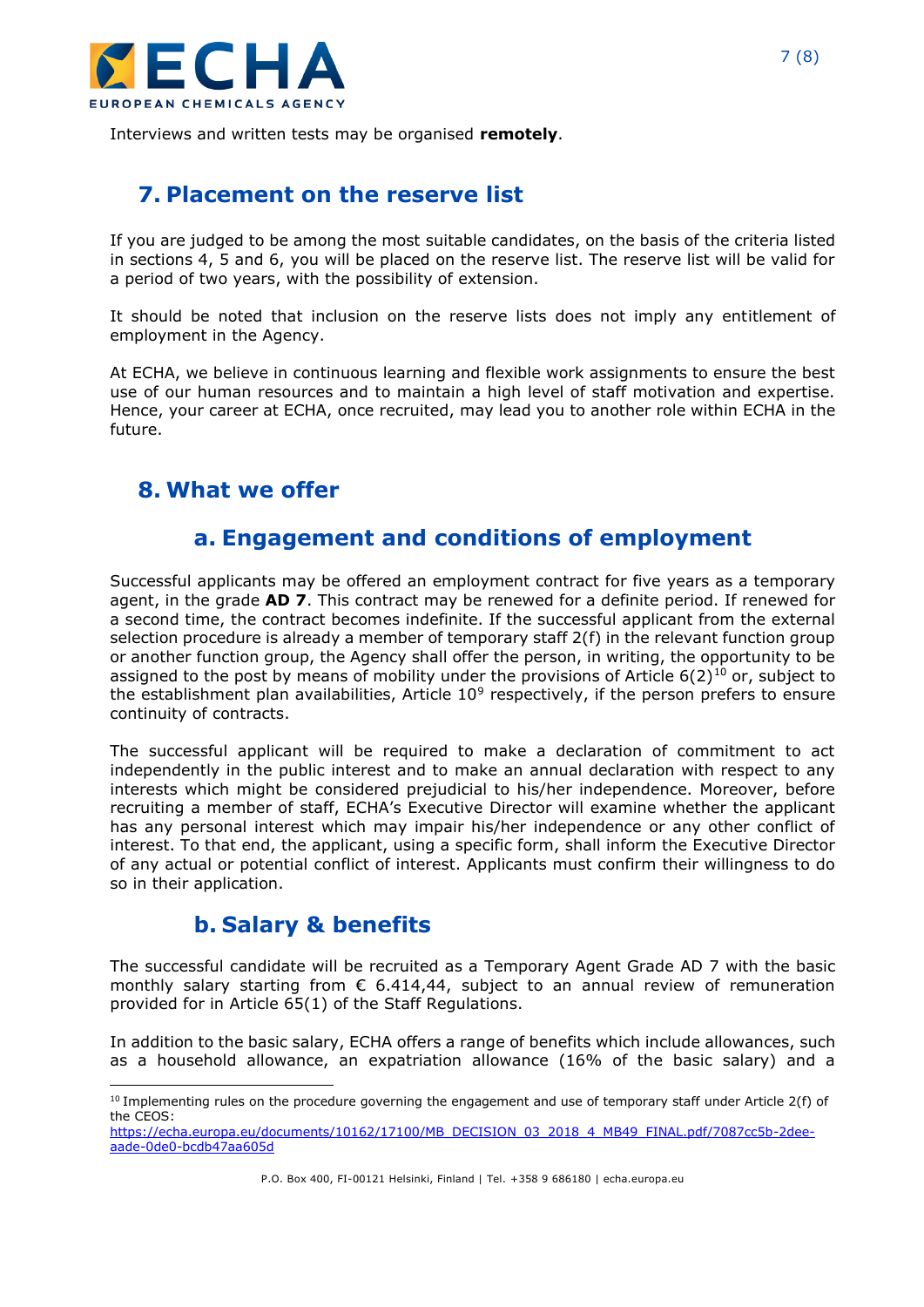

Interviews and written tests may be organised **remotely**.

## **7. Placement on the reserve list**

If you are judged to be among the most suitable candidates, on the basis of the criteria listed in sections 4, 5 and 6, you will be placed on the reserve list. The reserve list will be valid for a period of two years, with the possibility of extension.

It should be noted that inclusion on the reserve lists does not imply any entitlement of employment in the Agency.

At ECHA, we believe in continuous learning and flexible work assignments to ensure the best use of our human resources and to maintain a high level of staff motivation and expertise. Hence, your career at ECHA, once recruited, may lead you to another role within ECHA in the future.

## **8. What we offer**

## **a. Engagement and conditions of employment**

Successful applicants may be offered an employment contract for five years as a temporary agent, in the grade **AD 7**. This contract may be renewed for a definite period. If renewed for a second time, the contract becomes indefinite. If the successful applicant from the external selection procedure is already a member of temporary staff 2(f) in the relevant function group or another function group, the Agency shall offer the person, in writing, the opportunity to be assigned to the post by means of mobility under the provisions of Article  $6(2)^{10}$  or, subject to the establishment plan availabilities, Article  $10^9$  respectively, if the person prefers to ensure continuity of contracts.

The successful applicant will be required to make a declaration of commitment to act independently in the public interest and to make an annual declaration with respect to any interests which might be considered prejudicial to his/her independence. Moreover, before recruiting a member of staff, ECHA's Executive Director will examine whether the applicant has any personal interest which may impair his/her independence or any other conflict of interest. To that end, the applicant, using a specific form, shall inform the Executive Director of any actual or potential conflict of interest. Applicants must confirm their willingness to do so in their application.

## **b. Salary & benefits**

The successful candidate will be recruited as a Temporary Agent Grade AD 7 with the basic monthly salary starting from  $\epsilon$  6.414,44, subject to an annual review of remuneration provided for in Article 65(1) of the Staff Regulations.

In addition to the basic salary, ECHA offers a range of benefits which include allowances, such as a household allowance, an expatriation allowance (16% of the basic salary) and a

 $10$  Implementing rules on the procedure governing the engagement and use of temporary staff under Article 2(f) of the CEOS:

[https://echa.europa.eu/documents/10162/17100/MB\\_DECISION\\_03\\_2018\\_4\\_MB49\\_FINAL.pdf/7087cc5b-2dee](https://echa.europa.eu/documents/10162/17100/MB_DECISION_03_2018_4_MB49_FINAL.pdf/7087cc5b-2dee-aade-0de0-bcdb47aa605d)[aade-0de0-bcdb47aa605d](https://echa.europa.eu/documents/10162/17100/MB_DECISION_03_2018_4_MB49_FINAL.pdf/7087cc5b-2dee-aade-0de0-bcdb47aa605d)